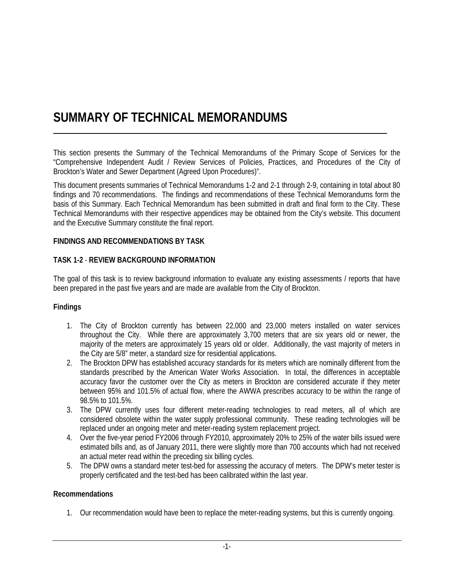# **SUMMARY OF TECHNICAL MEMORANDUMS**

This section presents the Summary of the Technical Memorandums of the Primary Scope of Services for the "Comprehensive Independent Audit / Review Services of Policies, Practices, and Procedures of the City of Brockton's Water and Sewer Department (Agreed Upon Procedures)".

This document presents summaries of Technical Memorandums 1-2 and 2-1 through 2-9, containing in total about 80 findings and 70 recommendations. The findings and recommendations of these Technical Memorandums form the basis of this Summary. Each Technical Memorandum has been submitted in draft and final form to the City. These Technical Memorandums with their respective appendices may be obtained from the City's website. This document and the Executive Summary constitute the final report.

#### **FINDINGS AND RECOMMENDATIONS BY TASK**

#### **TASK 1-2** - **REVIEW BACKGROUND INFORMATION**

The goal of this task is to review background information to evaluate any existing assessments / reports that have been prepared in the past five years and are made are available from the City of Brockton.

#### **Findings**

- 1. The City of Brockton currently has between 22,000 and 23,000 meters installed on water services throughout the City. While there are approximately 3,700 meters that are six years old or newer, the majority of the meters are approximately 15 years old or older. Additionally, the vast majority of meters in the City are 5/8" meter, a standard size for residential applications.
- 2. The Brockton DPW has established accuracy standards for its meters which are nominally different from the standards prescribed by the American Water Works Association. In total, the differences in acceptable accuracy favor the customer over the City as meters in Brockton are considered accurate if they meter between 95% and 101.5% of actual flow, where the AWWA prescribes accuracy to be within the range of 98.5% to 101.5%.
- 3. The DPW currently uses four different meter-reading technologies to read meters, all of which are considered obsolete within the water supply professional community. These reading technologies will be replaced under an ongoing meter and meter-reading system replacement project.
- 4. Over the five-year period FY2006 through FY2010, approximately 20% to 25% of the water bills issued were estimated bills and, as of January 2011, there were slightly more than 700 accounts which had not received an actual meter read within the preceding six billing cycles.
- 5. The DPW owns a standard meter test-bed for assessing the accuracy of meters. The DPW's meter tester is properly certificated and the test-bed has been calibrated within the last year.

#### **Recommendations**

1. Our recommendation would have been to replace the meter-reading systems, but this is currently ongoing.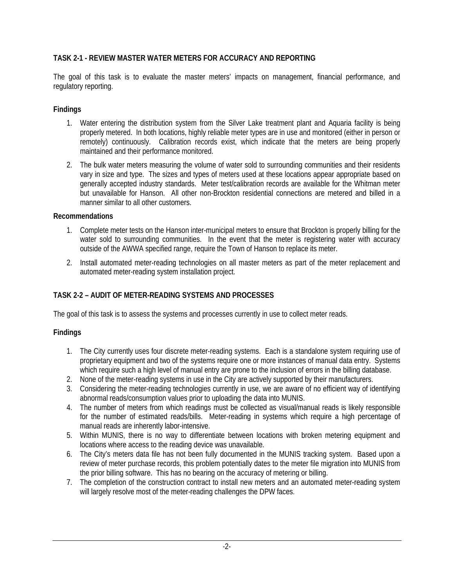### **TASK 2-1 - REVIEW MASTER WATER METERS FOR ACCURACY AND REPORTING**

The goal of this task is to evaluate the master meters' impacts on management, financial performance, and regulatory reporting.

### **Findings**

- 1. Water entering the distribution system from the Silver Lake treatment plant and Aquaria facility is being properly metered. In both locations, highly reliable meter types are in use and monitored (either in person or remotely) continuously. Calibration records exist, which indicate that the meters are being properly maintained and their performance monitored.
- 2. The bulk water meters measuring the volume of water sold to surrounding communities and their residents vary in size and type. The sizes and types of meters used at these locations appear appropriate based on generally accepted industry standards. Meter test/calibration records are available for the Whitman meter but unavailable for Hanson. All other non-Brockton residential connections are metered and billed in a manner similar to all other customers.

### **Recommendations**

- 1. Complete meter tests on the Hanson inter-municipal meters to ensure that Brockton is properly billing for the water sold to surrounding communities. In the event that the meter is registering water with accuracy outside of the AWWA specified range, require the Town of Hanson to replace its meter.
- 2. Install automated meter-reading technologies on all master meters as part of the meter replacement and automated meter-reading system installation project.

# **TASK 2-2 – AUDIT OF METER-READING SYSTEMS AND PROCESSES**

The goal of this task is to assess the systems and processes currently in use to collect meter reads.

# **Findings**

- 1. The City currently uses four discrete meter-reading systems. Each is a standalone system requiring use of proprietary equipment and two of the systems require one or more instances of manual data entry. Systems which require such a high level of manual entry are prone to the inclusion of errors in the billing database.
- 2. None of the meter-reading systems in use in the City are actively supported by their manufacturers.
- 3. Considering the meter-reading technologies currently in use, we are aware of no efficient way of identifying abnormal reads/consumption values prior to uploading the data into MUNIS.
- 4. The number of meters from which readings must be collected as visual/manual reads is likely responsible for the number of estimated reads/bills. Meter-reading in systems which require a high percentage of manual reads are inherently labor-intensive.
- 5. Within MUNIS, there is no way to differentiate between locations with broken metering equipment and locations where access to the reading device was unavailable.
- 6. The City's meters data file has not been fully documented in the MUNIS tracking system. Based upon a review of meter purchase records, this problem potentially dates to the meter file migration into MUNIS from the prior billing software. This has no bearing on the accuracy of metering or billing.
- 7. The completion of the construction contract to install new meters and an automated meter-reading system will largely resolve most of the meter-reading challenges the DPW faces.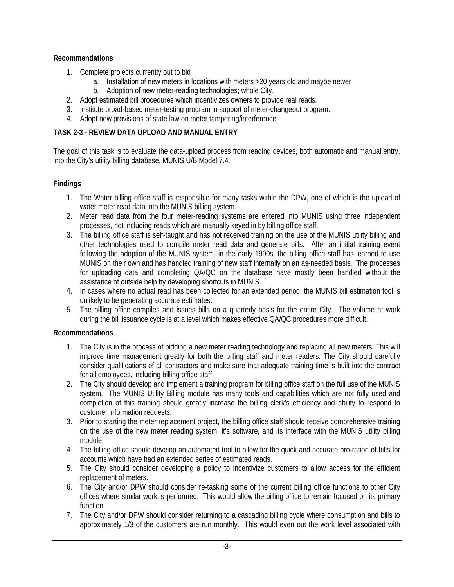# **Recommendations**

- 1. Complete projects currently out to bid
	- a. Installation of new meters in locations with meters >20 years old and maybe newer
	- b. Adoption of new meter-reading technologies; whole City.
- 2. Adopt estimated bill procedures which incentivizes owners to provide real reads.
- 3. Institute broad-based meter-testing program in support of meter-changeout program.
- 4. Adopt new provisions of state law on meter tampering/interference.

# **TASK 2-3 - REVIEW DATA UPLOAD AND MANUAL ENTRY**

The goal of this task is to evaluate the data-upload process from reading devices, both automatic and manual entry, into the City's utility billing database, MUNIS U/B Model 7.4.

# **Findings**

- 1. The Water billing office staff is responsible for many tasks within the DPW, one of which is the upload of water meter read data into the MUNIS billing system.
- 2. Meter read data from the four meter-reading systems are entered into MUNIS using three independent processes, not including reads which are manually keyed in by billing office staff.
- 3. The billing office staff is self-taught and has not received training on the use of the MUNIS utility billing and other technologies used to compile meter read data and generate bills. After an initial training event following the adoption of the MUNIS system, in the early 1990s, the billing office staff has learned to use MUNIS on their own and has handled training of new staff internally on an as-needed basis. The processes for uploading data and completing QA/QC on the database have mostly been handled without the assistance of outside help by developing shortcuts in MUNIS.
- 4. In cases where no actual read has been collected for an extended period, the MUNIS bill estimation tool is unlikely to be generating accurate estimates.
- 5. The billing office compiles and issues bills on a quarterly basis for the entire City. The volume at work during the bill issuance cycle is at a level which makes effective QA/QC procedures more difficult.

### **Recommendations**

- 1. The City is in the process of bidding a new meter reading technology and replacing all new meters. This will improve time management greatly for both the billing staff and meter readers. The City should carefully consider qualifications of all contractors and make sure that adequate training time is built into the contract for all employees, including billing office staff.
- 2. The City should develop and implement a training program for billing office staff on the full use of the MUNIS system. The MUNIS Utility Billing module has many tools and capabilities which are not fully used and completion of this training should greatly increase the billing clerk's efficiency and ability to respond to customer information requests.
- 3. Prior to starting the meter replacement project, the billing office staff should receive comprehensive training on the use of the new meter reading system, it's software, and its interface with the MUNIS utility billing module.
- 4. The billing office should develop an automated tool to allow for the quick and accurate pro-ration of bills for accounts which have had an extended series of estimated reads.
- 5. The City should consider developing a policy to incentivize customers to allow access for the efficient replacement of meters.
- 6. The City and/or DPW should consider re-tasking some of the current billing office functions to other City offices where similar work is performed. This would allow the billing office to remain focused on its primary function.
- 7. The City and/or DPW should consider returning to a cascading billing cycle where consumption and bills to approximately 1/3 of the customers are run monthly. This would even out the work level associated with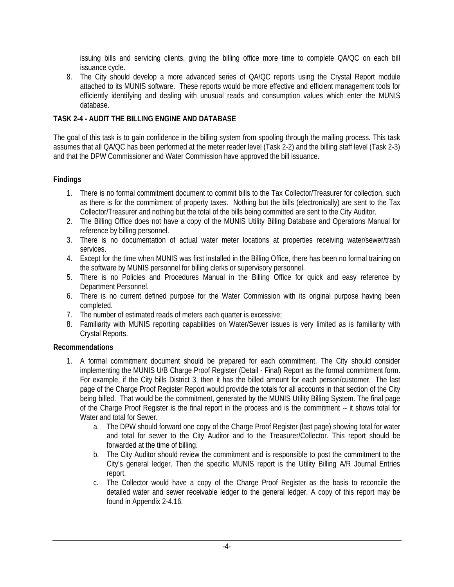issuing bills and servicing clients, giving the billing office more time to complete QA/QC on each bill issuance cycle.

8. The City should develop a more advanced series of QA/QC reports using the Crystal Report module attached to its MUNIS software. These reports would be more effective and efficient management tools for efficiently identifying and dealing with unusual reads and consumption values which enter the MUNIS database.

### **TASK 2-4 - AUDIT THE BILLING ENGINE AND DATABASE**

The goal of this task is to gain confidence in the billing system from spooling through the mailing process. This task assumes that all QA/QC has been performed at the meter reader level (Task 2-2) and the billing staff level (Task 2-3) and that the DPW Commissioner and Water Commission have approved the bill issuance.

# **Findings**

- 1. There is no formal commitment document to commit bills to the Tax Collector/Treasurer for collection, such as there is for the commitment of property taxes. Nothing but the bills (electronically) are sent to the Tax Collector/Treasurer and nothing but the total of the bills being committed are sent to the City Auditor.
- 2. The Billing Office does not have a copy of the MUNIS Utility Billing Database and Operations Manual for reference by billing personnel.
- 3. There is no documentation of actual water meter locations at properties receiving water/sewer/trash services.
- 4. Except for the time when MUNIS was first installed in the Billing Office, there has been no formal training on the software by MUNIS personnel for billing clerks or supervisory personnel.
- 5. There is no Policies and Procedures Manual in the Billing Office for quick and easy reference by Department Personnel.
- 6. There is no current defined purpose for the Water Commission with its original purpose having been completed.
- 7. The number of estimated reads of meters each quarter is excessive;
- 8. Familiarity with MUNIS reporting capabilities on Water/Sewer issues is very limited as is familiarity with Crystal Reports.

### **Recommendations**

- 1. A formal commitment document should be prepared for each commitment. The City should consider implementing the MUNIS U/B Charge Proof Register (Detail - Final) Report as the formal commitment form. For example, if the City bills District 3, then it has the billed amount for each person/customer. The last page of the Charge Proof Register Report would provide the totals for all accounts in that section of the City being billed. That would be the commitment, generated by the MUNIS Utility Billing System. The final page of the Charge Proof Register is the final report in the process and is the commitment -- it shows total for Water and total for Sewer.
	- a. The DPW should forward one copy of the Charge Proof Register (last page) showing total for water and total for sewer to the City Auditor and to the Treasurer/Collector. This report should be forwarded at the time of billing.
	- b. The City Auditor should review the commitment and is responsible to post the commitment to the City's general ledger. Then the specific MUNIS report is the Utility Billing A/R Journal Entries report.
	- c. The Collector would have a copy of the Charge Proof Register as the basis to reconcile the detailed water and sewer receivable ledger to the general ledger. A copy of this report may be found in Appendix 2-4.16.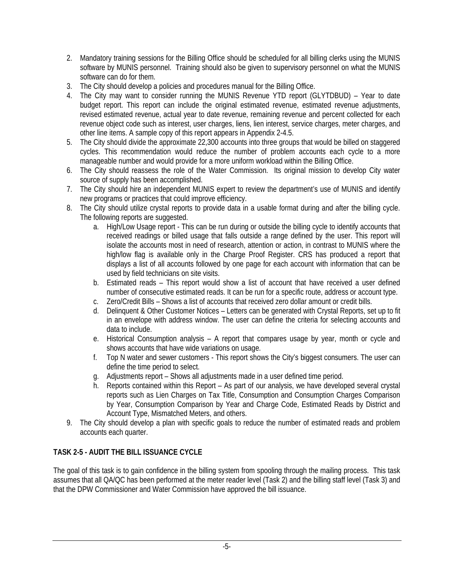- 2. Mandatory training sessions for the Billing Office should be scheduled for all billing clerks using the MUNIS software by MUNIS personnel. Training should also be given to supervisory personnel on what the MUNIS software can do for them.
- 3. The City should develop a policies and procedures manual for the Billing Office.
- 4. The City may want to consider running the MUNIS Revenue YTD report (GLYTDBUD) Year to date budget report. This report can include the original estimated revenue, estimated revenue adjustments, revised estimated revenue, actual year to date revenue, remaining revenue and percent collected for each revenue object code such as interest, user charges, liens, lien interest, service charges, meter charges, and other line items. A sample copy of this report appears in Appendix 2-4.5.
- 5. The City should divide the approximate 22,300 accounts into three groups that would be billed on staggered cycles. This recommendation would reduce the number of problem accounts each cycle to a more manageable number and would provide for a more uniform workload within the Billing Office.
- 6. The City should reassess the role of the Water Commission. Its original mission to develop City water source of supply has been accomplished.
- 7. The City should hire an independent MUNIS expert to review the department's use of MUNIS and identify new programs or practices that could improve efficiency.
- 8. The City should utilize crystal reports to provide data in a usable format during and after the billing cycle. The following reports are suggested.
	- a. High/Low Usage report This can be run during or outside the billing cycle to identify accounts that received readings or billed usage that falls outside a range defined by the user. This report will isolate the accounts most in need of research, attention or action, in contrast to MUNIS where the high/low flag is available only in the Charge Proof Register. CRS has produced a report that displays a list of all accounts followed by one page for each account with information that can be used by field technicians on site visits.
	- b. Estimated reads This report would show a list of account that have received a user defined number of consecutive estimated reads. It can be run for a specific route, address or account type.
	- c. Zero/Credit Bills Shows a list of accounts that received zero dollar amount or credit bills.
	- d. Delinquent & Other Customer Notices Letters can be generated with Crystal Reports, set up to fit in an envelope with address window. The user can define the criteria for selecting accounts and data to include.
	- e. Historical Consumption analysis A report that compares usage by year, month or cycle and shows accounts that have wide variations on usage.
	- f. Top N water and sewer customers This report shows the City's biggest consumers. The user can define the time period to select.
	- g. Adjustments report Shows all adjustments made in a user defined time period.
	- h. Reports contained within this Report As part of our analysis, we have developed several crystal reports such as Lien Charges on Tax Title, Consumption and Consumption Charges Comparison by Year, Consumption Comparison by Year and Charge Code, Estimated Reads by District and Account Type, Mismatched Meters, and others.
- 9. The City should develop a plan with specific goals to reduce the number of estimated reads and problem accounts each quarter.

# **TASK 2-5 - AUDIT THE BILL ISSUANCE CYCLE**

The goal of this task is to gain confidence in the billing system from spooling through the mailing process. This task assumes that all QA/QC has been performed at the meter reader level (Task 2) and the billing staff level (Task 3) and that the DPW Commissioner and Water Commission have approved the bill issuance.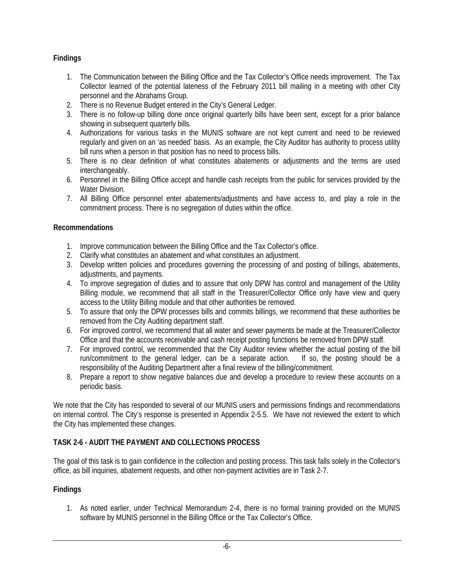# **Findings**

- 1. The Communication between the Billing Office and the Tax Collector's Office needs improvement. The Tax Collector learned of the potential lateness of the February 2011 bill mailing in a meeting with other City personnel and the Abrahams Group.
- 2. There is no Revenue Budget entered in the City's General Ledger.
- 3. There is no follow-up billing done once original quarterly bills have been sent, except for a prior balance showing in subsequent quarterly bills.
- 4. Authorizations for various tasks in the MUNIS software are not kept current and need to be reviewed regularly and given on an 'as needed' basis. As an example, the City Auditor has authority to process utility bill runs when a person in that position has no need to process bills.
- 5. There is no clear definition of what constitutes abatements or adjustments and the terms are used interchangeably.
- 6. Personnel in the Billing Office accept and handle cash receipts from the public for services provided by the Water Division.
- 7. All Billing Office personnel enter abatements/adjustments and have access to, and play a role in the commitment process. There is no segregation of duties within the office.

### **Recommendations**

- 1. Improve communication between the Billing Office and the Tax Collector's office.
- 2. Clarify what constitutes an abatement and what constitutes an adjustment.
- 3. Develop written policies and procedures governing the processing of and posting of billings, abatements, adjustments, and payments.
- 4. To improve segregation of duties and to assure that only DPW has control and management of the Utility Billing module, we recommend that all staff in the Treasurer/Collector Office only have view and query access to the Utility Billing module and that other authorities be removed.
- 5. To assure that only the DPW processes bills and commits billings, we recommend that these authorities be removed from the City Auditing department staff.
- 6. For improved control, we recommend that all water and sewer payments be made at the Treasurer/Collector Office and that the accounts receivable and cash receipt posting functions be removed from DPW staff.
- 7. For improved control, we recommended that the City Auditor review whether the actual posting of the bill run/commitment to the general ledger, can be a separate action. If so, the posting should be a responsibility of the Auditing Department after a final review of the billing/commitment.
- 8. Prepare a report to show negative balances due and develop a procedure to review these accounts on a periodic basis.

We note that the City has responded to several of our MUNIS users and permissions findings and recommendations on internal control. The City's response is presented in Appendix 2-5.5. We have not reviewed the extent to which the City has implemented these changes.

### **TASK 2-6 - AUDIT THE PAYMENT AND COLLECTIONS PROCESS**

The goal of this task is to gain confidence in the collection and posting process. This task falls solely in the Collector's office, as bill inquiries, abatement requests, and other non-payment activities are in Task 2-7.

### **Findings**

1. As noted earlier, under Technical Memorandum 2-4, there is no formal training provided on the MUNIS software by MUNIS personnel in the Billing Office or the Tax Collector's Office.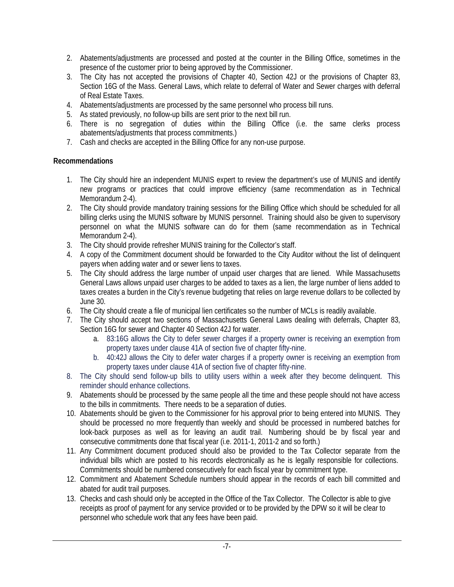- 2. Abatements/adjustments are processed and posted at the counter in the Billing Office, sometimes in the presence of the customer prior to being approved by the Commissioner.
- 3. The City has not accepted the provisions of Chapter 40, Section 42J or the provisions of Chapter 83, Section 16G of the Mass. General Laws, which relate to deferral of Water and Sewer charges with deferral of Real Estate Taxes.
- 4. Abatements/adjustments are processed by the same personnel who process bill runs.
- 5. As stated previously, no follow-up bills are sent prior to the next bill run.
- 6. There is no segregation of duties within the Billing Office (i.e. the same clerks process abatements/adjustments that process commitments.)
- 7. Cash and checks are accepted in the Billing Office for any non-use purpose.

# **Recommendations**

- 1. The City should hire an independent MUNIS expert to review the department's use of MUNIS and identify new programs or practices that could improve efficiency (same recommendation as in Technical Memorandum 2-4).
- 2. The City should provide mandatory training sessions for the Billing Office which should be scheduled for all billing clerks using the MUNIS software by MUNIS personnel. Training should also be given to supervisory personnel on what the MUNIS software can do for them (same recommendation as in Technical Memorandum 2-4).
- 3. The City should provide refresher MUNIS training for the Collector's staff.
- 4. A copy of the Commitment document should be forwarded to the City Auditor without the list of delinquent payers when adding water and or sewer liens to taxes.
- 5. The City should address the large number of unpaid user charges that are liened. While Massachusetts General Laws allows unpaid user charges to be added to taxes as a lien, the large number of liens added to taxes creates a burden in the City's revenue budgeting that relies on large revenue dollars to be collected by June 30.
- 6. The City should create a file of municipal lien certificates so the number of MCLs is readily available.
- 7. The City should accept two sections of Massachusetts General Laws dealing with deferrals, Chapter 83, Section 16G for sewer and Chapter 40 Section 42J for water.
	- a. 83:16G allows the City to defer sewer charges if a property owner is receiving an exemption from property taxes under clause 41A of section five of chapter fifty-nine.
	- b. 40:42J allows the City to defer water charges if a property owner is receiving an exemption from property taxes under clause 41A of section five of chapter fifty-nine.
- 8. The City should send follow-up bills to utility users within a week after they become delinquent. This reminder should enhance collections.
- 9. Abatements should be processed by the same people all the time and these people should not have access to the bills in commitments. There needs to be a separation of duties.
- 10. Abatements should be given to the Commissioner for his approval prior to being entered into MUNIS. They should be processed no more frequently than weekly and should be processed in numbered batches for look-back purposes as well as for leaving an audit trail. Numbering should be by fiscal year and consecutive commitments done that fiscal year (i.e. 2011-1, 2011-2 and so forth.)
- 11. Any Commitment document produced should also be provided to the Tax Collector separate from the individual bills which are posted to his records electronically as he is legally responsible for collections. Commitments should be numbered consecutively for each fiscal year by commitment type.
- 12. Commitment and Abatement Schedule numbers should appear in the records of each bill committed and abated for audit trail purposes.
- 13. Checks and cash should only be accepted in the Office of the Tax Collector. The Collector is able to give receipts as proof of payment for any service provided or to be provided by the DPW so it will be clear to personnel who schedule work that any fees have been paid.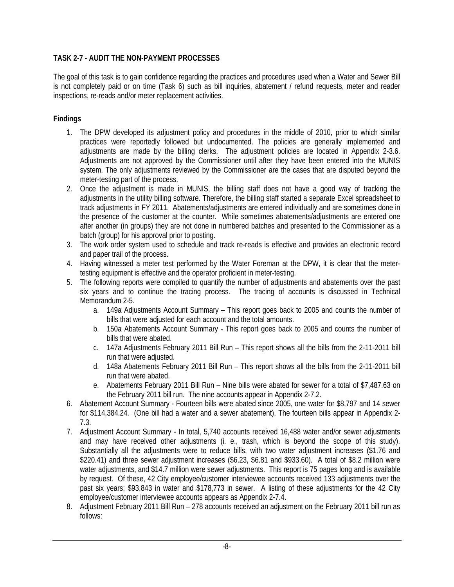# **TASK 2-7 - AUDIT THE NON-PAYMENT PROCESSES**

The goal of this task is to gain confidence regarding the practices and procedures used when a Water and Sewer Bill is not completely paid or on time (Task 6) such as bill inquiries, abatement / refund requests, meter and reader inspections, re-reads and/or meter replacement activities.

### **Findings**

- 1. The DPW developed its adjustment policy and procedures in the middle of 2010, prior to which similar practices were reportedly followed but undocumented. The policies are generally implemented and adjustments are made by the billing clerks. The adjustment policies are located in Appendix 2-3.6. Adjustments are not approved by the Commissioner until after they have been entered into the MUNIS system. The only adjustments reviewed by the Commissioner are the cases that are disputed beyond the meter-testing part of the process.
- 2. Once the adjustment is made in MUNIS, the billing staff does not have a good way of tracking the adjustments in the utility billing software. Therefore, the billing staff started a separate Excel spreadsheet to track adjustments in FY 2011. Abatements/adjustments are entered individually and are sometimes done in the presence of the customer at the counter. While sometimes abatements/adjustments are entered one after another (in groups) they are not done in numbered batches and presented to the Commissioner as a batch (group) for his approval prior to posting.
- 3. The work order system used to schedule and track re-reads is effective and provides an electronic record and paper trail of the process.
- 4. Having witnessed a meter test performed by the Water Foreman at the DPW, it is clear that the metertesting equipment is effective and the operator proficient in meter-testing.
- 5. The following reports were compiled to quantify the number of adjustments and abatements over the past six years and to continue the tracing process. The tracing of accounts is discussed in Technical Memorandum 2-5.
	- a. 149a Adjustments Account Summary This report goes back to 2005 and counts the number of bills that were adjusted for each account and the total amounts.
	- b. 150a Abatements Account Summary This report goes back to 2005 and counts the number of bills that were abated.
	- c. 147a Adjustments February 2011 Bill Run This report shows all the bills from the 2-11-2011 bill run that were adjusted.
	- d. 148a Abatements February 2011 Bill Run This report shows all the bills from the 2-11-2011 bill run that were abated.
	- e. Abatements February 2011 Bill Run Nine bills were abated for sewer for a total of \$7,487.63 on the February 2011 bill run. The nine accounts appear in Appendix 2-7.2.
- 6. Abatement Account Summary Fourteen bills were abated since 2005, one water for \$8,797 and 14 sewer for \$114,384.24. (One bill had a water and a sewer abatement). The fourteen bills appear in Appendix 2- 7.3.
- 7. Adjustment Account Summary In total, 5,740 accounts received 16,488 water and/or sewer adjustments and may have received other adjustments (i. e., trash, which is beyond the scope of this study). Substantially all the adjustments were to reduce bills, with two water adjustment increases (\$1.76 and \$220.41) and three sewer adjustment increases (\$6.23, \$6.81 and \$933.60). A total of \$8.2 million were water adjustments, and \$14.7 million were sewer adjustments. This report is 75 pages long and is available by request. Of these, 42 City employee/customer interviewee accounts received 133 adjustments over the past six years; \$93,843 in water and \$178,773 in sewer. A listing of these adjustments for the 42 City employee/customer interviewee accounts appears as Appendix 2-7.4.
- 8. Adjustment February 2011 Bill Run 278 accounts received an adjustment on the February 2011 bill run as follows: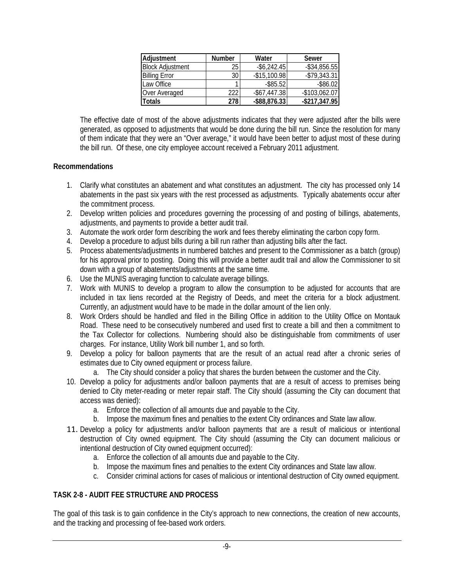| Adjustment              | <b>Number</b> | Water           | Sewer            |
|-------------------------|---------------|-----------------|------------------|
| <b>Block Adjustment</b> | 25            | $-$ \$6,242.45  | $-$ \$34,856.55  |
| <b>Billing Error</b>    | 30            | $-$15,100.98$   | $-$79,343.31$    |
| Law Office              |               | $-$ \$85.52     | $-$ \$86.02      |
| Over Averaged           | 222           | $-$ \$67,447.38 | $-$ \$103,062.07 |
| <b>Totals</b>           | 278           | $-$ \$88,876.33 | $-$217,347.95$   |

The effective date of most of the above adjustments indicates that they were adjusted after the bills were generated, as opposed to adjustments that would be done during the bill run. Since the resolution for many of them indicate that they were an "Over average," it would have been better to adjust most of these during the bill run. Of these, one city employee account received a February 2011 adjustment.

### **Recommendations**

- 1. Clarify what constitutes an abatement and what constitutes an adjustment. The city has processed only 14 abatements in the past six years with the rest processed as adjustments. Typically abatements occur after the commitment process.
- 2. Develop written policies and procedures governing the processing of and posting of billings, abatements, adjustments, and payments to provide a better audit trail.
- 3. Automate the work order form describing the work and fees thereby eliminating the carbon copy form.
- 4. Develop a procedure to adjust bills during a bill run rather than adjusting bills after the fact.
- 5. Process abatements/adjustments in numbered batches and present to the Commissioner as a batch (group) for his approval prior to posting. Doing this will provide a better audit trail and allow the Commissioner to sit down with a group of abatements/adjustments at the same time.
- 6. Use the MUNIS averaging function to calculate average billings.
- 7. Work with MUNIS to develop a program to allow the consumption to be adjusted for accounts that are included in tax liens recorded at the Registry of Deeds, and meet the criteria for a block adjustment. Currently, an adjustment would have to be made in the dollar amount of the lien only.
- 8. Work Orders should be handled and filed in the Billing Office in addition to the Utility Office on Montauk Road. These need to be consecutively numbered and used first to create a bill and then a commitment to the Tax Collector for collections. Numbering should also be distinguishable from commitments of user charges. For instance, Utility Work bill number 1, and so forth.
- 9. Develop a policy for balloon payments that are the result of an actual read after a chronic series of estimates due to City owned equipment or process failure.
	- a. The City should consider a policy that shares the burden between the customer and the City.
- 10. Develop a policy for adjustments and/or balloon payments that are a result of access to premises being denied to City meter-reading or meter repair staff. The City should (assuming the City can document that access was denied):
	- a. Enforce the collection of all amounts due and payable to the City.
	- b. Impose the maximum fines and penalties to the extent City ordinances and State law allow.
- 11. Develop a policy for adjustments and/or balloon payments that are a result of malicious or intentional destruction of City owned equipment. The City should (assuming the City can document malicious or intentional destruction of City owned equipment occurred):
	- a. Enforce the collection of all amounts due and payable to the City.
	- b. Impose the maximum fines and penalties to the extent City ordinances and State law allow.
	- c. Consider criminal actions for cases of malicious or intentional destruction of City owned equipment.

# **TASK 2-8 - AUDIT FEE STRUCTURE AND PROCESS**

The goal of this task is to gain confidence in the City's approach to new connections, the creation of new accounts, and the tracking and processing of fee-based work orders.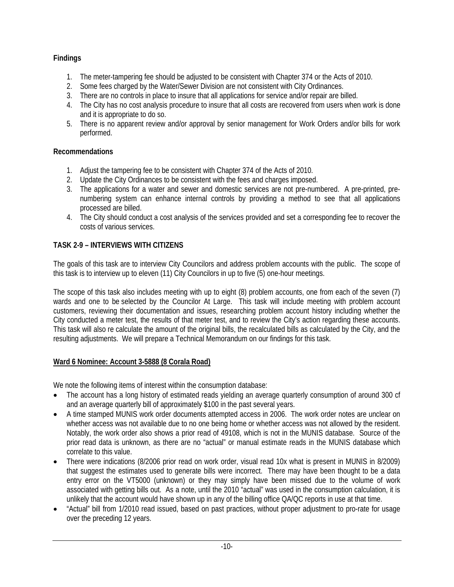# **Findings**

- 1. The meter-tampering fee should be adjusted to be consistent with Chapter 374 or the Acts of 2010.
- 2. Some fees charged by the Water/Sewer Division are not consistent with City Ordinances.
- 3. There are no controls in place to insure that all applications for service and/or repair are billed.
- 4. The City has no cost analysis procedure to insure that all costs are recovered from users when work is done and it is appropriate to do so.
- 5. There is no apparent review and/or approval by senior management for Work Orders and/or bills for work performed.

# **Recommendations**

- 1. Adjust the tampering fee to be consistent with Chapter 374 of the Acts of 2010.
- 2. Update the City Ordinances to be consistent with the fees and charges imposed.
- 3. The applications for a water and sewer and domestic services are not pre-numbered. A pre-printed, prenumbering system can enhance internal controls by providing a method to see that all applications processed are billed.
- 4. The City should conduct a cost analysis of the services provided and set a corresponding fee to recover the costs of various services.

# **TASK 2-9 – INTERVIEWS WITH CITIZENS**

The goals of this task are to interview City Councilors and address problem accounts with the public. The scope of this task is to interview up to eleven (11) City Councilors in up to five (5) one-hour meetings.

The scope of this task also includes meeting with up to eight (8) problem accounts, one from each of the seven (7) wards and one to be selected by the Councilor At Large. This task will include meeting with problem account customers, reviewing their documentation and issues, researching problem account history including whether the City conducted a meter test, the results of that meter test, and to review the City's action regarding these accounts. This task will also re calculate the amount of the original bills, the recalculated bills as calculated by the City, and the resulting adjustments. We will prepare a Technical Memorandum on our findings for this task.

# **Ward 6 Nominee: Account 3-5888 (8 Corala Road)**

We note the following items of interest within the consumption database:

- The account has a long history of estimated reads yielding an average quarterly consumption of around 300 cf and an average quarterly bill of approximately \$100 in the past several years.
- A time stamped MUNIS work order documents attempted access in 2006. The work order notes are unclear on whether access was not available due to no one being home or whether access was not allowed by the resident. Notably, the work order also shows a prior read of 49108, which is not in the MUNIS database. Source of the prior read data is unknown, as there are no "actual" or manual estimate reads in the MUNIS database which correlate to this value.
- There were indications (8/2006 prior read on work order, visual read 10x what is present in MUNIS in 8/2009) that suggest the estimates used to generate bills were incorrect. There may have been thought to be a data entry error on the VT5000 (unknown) or they may simply have been missed due to the volume of work associated with getting bills out. As a note, until the 2010 "actual" was used in the consumption calculation, it is unlikely that the account would have shown up in any of the billing office QA/QC reports in use at that time.
- "Actual" bill from 1/2010 read issued, based on past practices, without proper adjustment to pro-rate for usage over the preceding 12 years.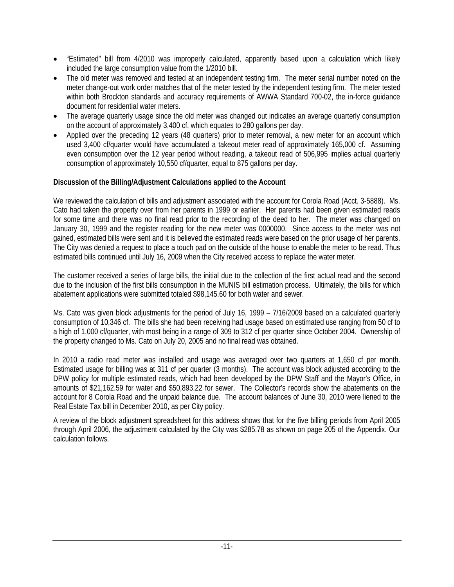- "Estimated" bill from 4/2010 was improperly calculated, apparently based upon a calculation which likely included the large consumption value from the 1/2010 bill.
- The old meter was removed and tested at an independent testing firm. The meter serial number noted on the meter change-out work order matches that of the meter tested by the independent testing firm. The meter tested within both Brockton standards and accuracy requirements of AWWA Standard 700-02, the in-force guidance document for residential water meters.
- The average quarterly usage since the old meter was changed out indicates an average quarterly consumption on the account of approximately 3,400 cf, which equates to 280 gallons per day.
- Applied over the preceding 12 years (48 quarters) prior to meter removal, a new meter for an account which used 3,400 cf/quarter would have accumulated a takeout meter read of approximately 165,000 cf. Assuming even consumption over the 12 year period without reading, a takeout read of 506,995 implies actual quarterly consumption of approximately 10,550 cf/quarter, equal to 875 gallons per day.

### **Discussion of the Billing/Adjustment Calculations applied to the Account**

We reviewed the calculation of bills and adjustment associated with the account for Corola Road (Acct. 3-5888). Ms. Cato had taken the property over from her parents in 1999 or earlier. Her parents had been given estimated reads for some time and there was no final read prior to the recording of the deed to her. The meter was changed on January 30, 1999 and the register reading for the new meter was 0000000. Since access to the meter was not gained, estimated bills were sent and it is believed the estimated reads were based on the prior usage of her parents. The City was denied a request to place a touch pad on the outside of the house to enable the meter to be read. Thus estimated bills continued until July 16, 2009 when the City received access to replace the water meter.

The customer received a series of large bills, the initial due to the collection of the first actual read and the second due to the inclusion of the first bills consumption in the MUNIS bill estimation process. Ultimately, the bills for which abatement applications were submitted totaled \$98,145.60 for both water and sewer.

Ms. Cato was given block adjustments for the period of July 16, 1999 – 7/16/2009 based on a calculated quarterly consumption of 10,346 cf. The bills she had been receiving had usage based on estimated use ranging from 50 cf to a high of 1,000 cf/quarter, with most being in a range of 309 to 312 cf per quarter since October 2004. Ownership of the property changed to Ms. Cato on July 20, 2005 and no final read was obtained.

In 2010 a radio read meter was installed and usage was averaged over two quarters at 1,650 cf per month. Estimated usage for billing was at 311 cf per quarter (3 months). The account was block adjusted according to the DPW policy for multiple estimated reads, which had been developed by the DPW Staff and the Mayor's Office, in amounts of \$21,162.59 for water and \$50,893.22 for sewer. The Collector's records show the abatements on the account for 8 Corola Road and the unpaid balance due. The account balances of June 30, 2010 were liened to the Real Estate Tax bill in December 2010, as per City policy.

A review of the block adjustment spreadsheet for this address shows that for the five billing periods from April 2005 through April 2006, the adjustment calculated by the City was \$285.78 as shown on page 205 of the Appendix. Our calculation follows.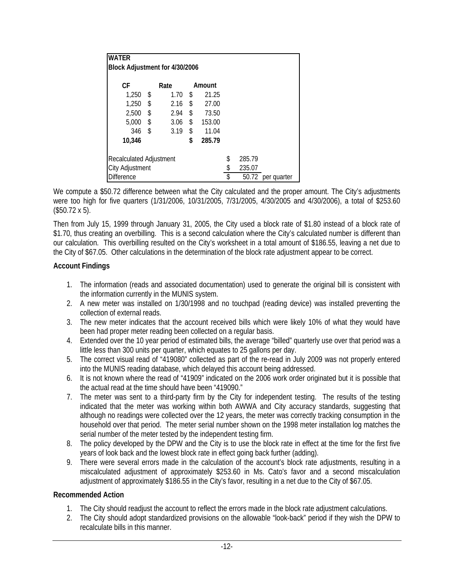| <b>WATER</b><br>Block Adjustment for 4/30/2006 |      |      |    |        |        |       |             |
|------------------------------------------------|------|------|----|--------|--------|-------|-------------|
| СF                                             |      | Rate |    | Amount |        |       |             |
| 1,250                                          | - \$ | 1.70 | \$ | 21.25  |        |       |             |
| 1,250                                          | \$   | 2.16 | \$ | 27.00  |        |       |             |
| 2,500                                          | \$   | 2.94 | \$ | 73.50  |        |       |             |
| 5,000                                          | \$   | 3.06 | \$ | 153.00 |        |       |             |
| 346                                            | \$   | 3.19 | \$ | 11.04  |        |       |             |
| 10.346                                         |      |      | \$ | 285.79 |        |       |             |
| Recalculated Adjustment                        |      |      |    | \$     | 285.79 |       |             |
| City Adjustment                                |      |      |    | \$     | 235.07 |       |             |
| <b>Difference</b>                              |      |      |    |        | \$     | 50.72 | per quarter |

We compute a \$50.72 difference between what the City calculated and the proper amount. The City's adjustments were too high for five quarters (1/31/2006, 10/31/2005, 7/31/2005, 4/30/2005 and 4/30/2006), a total of \$253.60 (\$50.72 x 5).

Then from July 15, 1999 through January 31, 2005, the City used a block rate of \$1.80 instead of a block rate of \$1.70, thus creating an overbilling. This is a second calculation where the City's calculated number is different than our calculation. This overbilling resulted on the City's worksheet in a total amount of \$186.55, leaving a net due to the City of \$67.05. Other calculations in the determination of the block rate adjustment appear to be correct.

### **Account Findings**

- 1. The information (reads and associated documentation) used to generate the original bill is consistent with the information currently in the MUNIS system.
- 2. A new meter was installed on 1/30/1998 and no touchpad (reading device) was installed preventing the collection of external reads.
- 3. The new meter indicates that the account received bills which were likely 10% of what they would have been had proper meter reading been collected on a regular basis.
- 4. Extended over the 10 year period of estimated bills, the average "billed" quarterly use over that period was a little less than 300 units per quarter, which equates to 25 gallons per day.
- 5. The correct visual read of "419080" collected as part of the re-read in July 2009 was not properly entered into the MUNIS reading database, which delayed this account being addressed.
- 6. It is not known where the read of "41909" indicated on the 2006 work order originated but it is possible that the actual read at the time should have been "419090."
- 7. The meter was sent to a third-party firm by the City for independent testing. The results of the testing indicated that the meter was working within both AWWA and City accuracy standards, suggesting that although no readings were collected over the 12 years, the meter was correctly tracking consumption in the household over that period. The meter serial number shown on the 1998 meter installation log matches the serial number of the meter tested by the independent testing firm.
- 8. The policy developed by the DPW and the City is to use the block rate in effect at the time for the first five years of look back and the lowest block rate in effect going back further (adding).
- 9. There were several errors made in the calculation of the account's block rate adjustments, resulting in a miscalculated adjustment of approximately \$253.60 in Ms. Cato's favor and a second miscalculation adjustment of approximately \$186.55 in the City's favor, resulting in a net due to the City of \$67.05.

### **Recommended Action**

- 1. The City should readjust the account to reflect the errors made in the block rate adjustment calculations.
- 2. The City should adopt standardized provisions on the allowable "look-back" period if they wish the DPW to recalculate bills in this manner.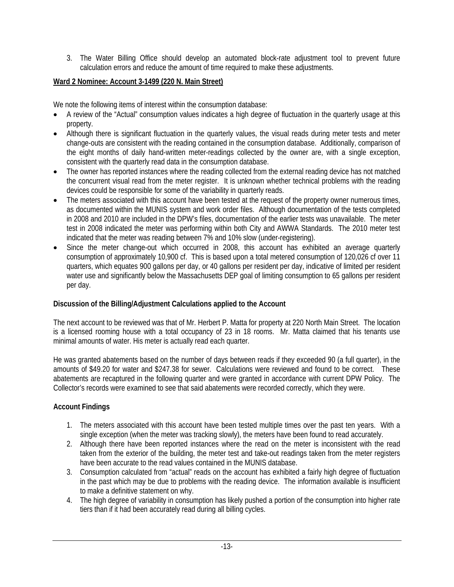3. The Water Billing Office should develop an automated block-rate adjustment tool to prevent future calculation errors and reduce the amount of time required to make these adjustments.

# **Ward 2 Nominee: Account 3-1499 (220 N. Main Street)**

We note the following items of interest within the consumption database:

- A review of the "Actual" consumption values indicates a high degree of fluctuation in the quarterly usage at this property.
- Although there is significant fluctuation in the quarterly values, the visual reads during meter tests and meter change-outs are consistent with the reading contained in the consumption database. Additionally, comparison of the eight months of daily hand-written meter-readings collected by the owner are, with a single exception, consistent with the quarterly read data in the consumption database.
- The owner has reported instances where the reading collected from the external reading device has not matched the concurrent visual read from the meter register. It is unknown whether technical problems with the reading devices could be responsible for some of the variability in quarterly reads.
- The meters associated with this account have been tested at the request of the property owner numerous times, as documented within the MUNIS system and work order files. Although documentation of the tests completed in 2008 and 2010 are included in the DPW's files, documentation of the earlier tests was unavailable. The meter test in 2008 indicated the meter was performing within both City and AWWA Standards. The 2010 meter test indicated that the meter was reading between 7% and 10% slow (under-registering).
- Since the meter change-out which occurred in 2008, this account has exhibited an average quarterly consumption of approximately 10,900 cf. This is based upon a total metered consumption of 120,026 cf over 11 quarters, which equates 900 gallons per day, or 40 gallons per resident per day, indicative of limited per resident water use and significantly below the Massachusetts DEP goal of limiting consumption to 65 gallons per resident per day.

# **Discussion of the Billing/Adjustment Calculations applied to the Account**

The next account to be reviewed was that of Mr. Herbert P. Matta for property at 220 North Main Street. The location is a licensed rooming house with a total occupancy of 23 in 18 rooms. Mr. Matta claimed that his tenants use minimal amounts of water. His meter is actually read each quarter.

He was granted abatements based on the number of days between reads if they exceeded 90 (a full quarter), in the amounts of \$49.20 for water and \$247.38 for sewer. Calculations were reviewed and found to be correct. These abatements are recaptured in the following quarter and were granted in accordance with current DPW Policy. The Collector's records were examined to see that said abatements were recorded correctly, which they were.

# **Account Findings**

- 1. The meters associated with this account have been tested multiple times over the past ten years. With a single exception (when the meter was tracking slowly), the meters have been found to read accurately.
- 2. Although there have been reported instances where the read on the meter is inconsistent with the read taken from the exterior of the building, the meter test and take-out readings taken from the meter registers have been accurate to the read values contained in the MUNIS database.
- 3. Consumption calculated from "actual" reads on the account has exhibited a fairly high degree of fluctuation in the past which may be due to problems with the reading device. The information available is insufficient to make a definitive statement on why.
- 4. The high degree of variability in consumption has likely pushed a portion of the consumption into higher rate tiers than if it had been accurately read during all billing cycles.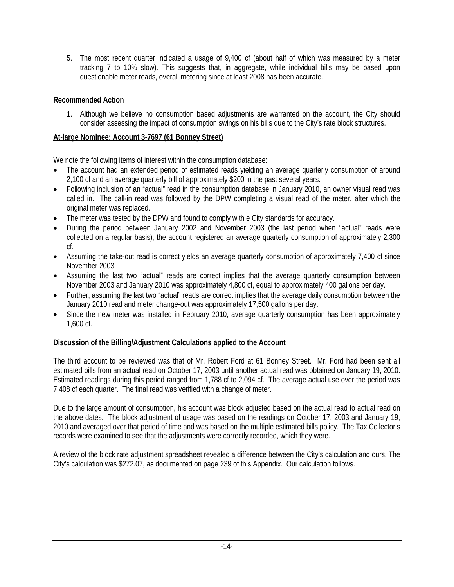5. The most recent quarter indicated a usage of 9,400 cf (about half of which was measured by a meter tracking 7 to 10% slow). This suggests that, in aggregate, while individual bills may be based upon questionable meter reads, overall metering since at least 2008 has been accurate.

# **Recommended Action**

1. Although we believe no consumption based adjustments are warranted on the account, the City should consider assessing the impact of consumption swings on his bills due to the City's rate block structures.

### **At-large Nominee: Account 3-7697 (61 Bonney Street)**

We note the following items of interest within the consumption database:

- The account had an extended period of estimated reads yielding an average quarterly consumption of around 2,100 cf and an average quarterly bill of approximately \$200 in the past several years.
- Following inclusion of an "actual" read in the consumption database in January 2010, an owner visual read was called in. The call-in read was followed by the DPW completing a visual read of the meter, after which the original meter was replaced.
- The meter was tested by the DPW and found to comply with e City standards for accuracy.
- During the period between January 2002 and November 2003 (the last period when "actual" reads were collected on a regular basis), the account registered an average quarterly consumption of approximately 2,300 cf.
- Assuming the take-out read is correct yields an average quarterly consumption of approximately 7,400 cf since November 2003.
- Assuming the last two "actual" reads are correct implies that the average quarterly consumption between November 2003 and January 2010 was approximately 4,800 cf, equal to approximately 400 gallons per day.
- Further, assuming the last two "actual" reads are correct implies that the average daily consumption between the January 2010 read and meter change-out was approximately 17,500 gallons per day.
- Since the new meter was installed in February 2010, average quarterly consumption has been approximately 1,600 cf.

# **Discussion of the Billing/Adjustment Calculations applied to the Account**

The third account to be reviewed was that of Mr. Robert Ford at 61 Bonney Street. Mr. Ford had been sent all estimated bills from an actual read on October 17, 2003 until another actual read was obtained on January 19, 2010. Estimated readings during this period ranged from 1,788 cf to 2,094 cf. The average actual use over the period was 7,408 cf each quarter. The final read was verified with a change of meter.

Due to the large amount of consumption, his account was block adjusted based on the actual read to actual read on the above dates. The block adjustment of usage was based on the readings on October 17, 2003 and January 19, 2010 and averaged over that period of time and was based on the multiple estimated bills policy. The Tax Collector's records were examined to see that the adjustments were correctly recorded, which they were.

A review of the block rate adjustment spreadsheet revealed a difference between the City's calculation and ours. The City's calculation was \$272.07, as documented on page 239 of this Appendix. Our calculation follows.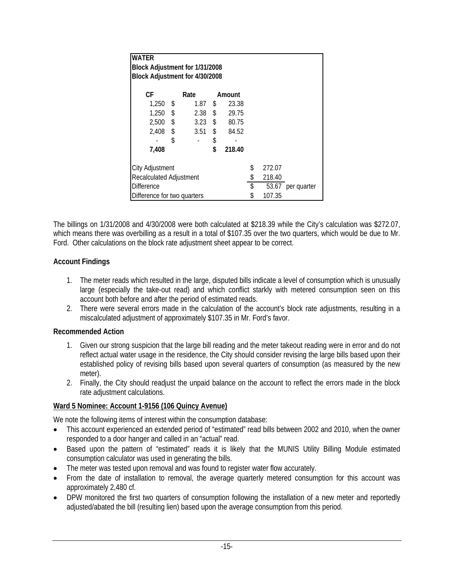| <b>WATER</b><br>Block Adjustment for 1/31/2008<br>Block Adjustment for 4/30/2008 |    |                    |               |        |        |                   |  |
|----------------------------------------------------------------------------------|----|--------------------|---------------|--------|--------|-------------------|--|
| СF                                                                               |    | Rate               |               | Amount |        |                   |  |
| $1,250$ \$                                                                       |    | 1.87 \$            |               | 23.38  |        |                   |  |
| $1,250$ \$                                                                       |    | $2.38$ \$          |               | 29.75  |        |                   |  |
| $2,500$ \$                                                                       |    | 3.23 $\frac{1}{2}$ |               | 80.75  |        |                   |  |
| $2,408$ \$                                                                       |    | 3.51               | $\frac{1}{2}$ | 84.52  |        |                   |  |
|                                                                                  | \$ |                    | \$            |        |        |                   |  |
| 7,408                                                                            |    |                    | \$            | 218.40 |        |                   |  |
| City Adjustment                                                                  |    |                    |               |        | \$     | 272.07            |  |
| <b>Recalculated Adjustment</b>                                                   |    |                    |               | \$     | 218.40 |                   |  |
| <b>Difference</b>                                                                |    |                    |               | \$     |        | 53.67 per quarter |  |
| Difference for two quarters                                                      |    |                    |               |        |        | 107.35            |  |

The billings on 1/31/2008 and 4/30/2008 were both calculated at \$218.39 while the City's calculation was \$272.07, which means there was overbilling as a result in a total of \$107.35 over the two quarters, which would be due to Mr. Ford. Other calculations on the block rate adjustment sheet appear to be correct.

### **Account Findings**

- 1. The meter reads which resulted in the large, disputed bills indicate a level of consumption which is unusually large (especially the take-out read) and which conflict starkly with metered consumption seen on this account both before and after the period of estimated reads.
- 2. There were several errors made in the calculation of the account's block rate adjustments, resulting in a miscalculated adjustment of approximately \$107.35 in Mr. Ford's favor.

### **Recommended Action**

- 1. Given our strong suspicion that the large bill reading and the meter takeout reading were in error and do not reflect actual water usage in the residence, the City should consider revising the large bills based upon their established policy of revising bills based upon several quarters of consumption (as measured by the new meter).
- 2. Finally, the City should readjust the unpaid balance on the account to reflect the errors made in the block rate adjustment calculations.

# **Ward 5 Nominee: Account 1-9156 (106 Quincy Avenue)**

We note the following items of interest within the consumption database:

- This account experienced an extended period of "estimated" read bills between 2002 and 2010, when the owner responded to a door hanger and called in an "actual" read.
- Based upon the pattern of "estimated" reads it is likely that the MUNIS Utility Billing Module estimated consumption calculator was used in generating the bills.
- The meter was tested upon removal and was found to register water flow accurately.
- From the date of installation to removal, the average quarterly metered consumption for this account was approximately 2,480 cf.
- DPW monitored the first two quarters of consumption following the installation of a new meter and reportedly adjusted/abated the bill (resulting lien) based upon the average consumption from this period.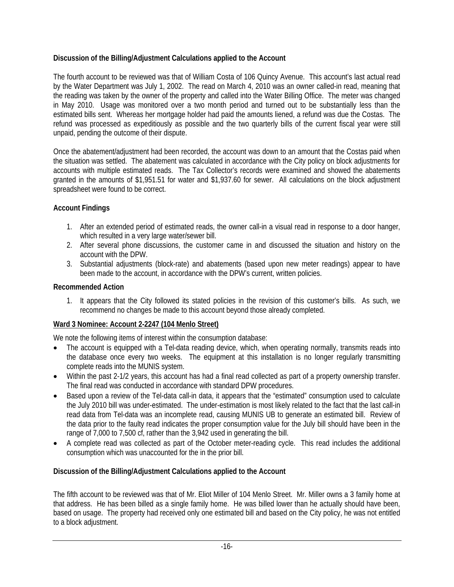# **Discussion of the Billing/Adjustment Calculations applied to the Account**

The fourth account to be reviewed was that of William Costa of 106 Quincy Avenue. This account's last actual read by the Water Department was July 1, 2002. The read on March 4, 2010 was an owner called-in read, meaning that the reading was taken by the owner of the property and called into the Water Billing Office. The meter was changed in May 2010. Usage was monitored over a two month period and turned out to be substantially less than the estimated bills sent. Whereas her mortgage holder had paid the amounts liened, a refund was due the Costas. The refund was processed as expeditiously as possible and the two quarterly bills of the current fiscal year were still unpaid, pending the outcome of their dispute.

Once the abatement/adjustment had been recorded, the account was down to an amount that the Costas paid when the situation was settled. The abatement was calculated in accordance with the City policy on block adjustments for accounts with multiple estimated reads. The Tax Collector's records were examined and showed the abatements granted in the amounts of \$1,951.51 for water and \$1,937.60 for sewer. All calculations on the block adjustment spreadsheet were found to be correct.

### **Account Findings**

- 1. After an extended period of estimated reads, the owner call-in a visual read in response to a door hanger, which resulted in a very large water/sewer bill.
- 2. After several phone discussions, the customer came in and discussed the situation and history on the account with the DPW.
- 3. Substantial adjustments (block-rate) and abatements (based upon new meter readings) appear to have been made to the account, in accordance with the DPW's current, written policies.

### **Recommended Action**

1. It appears that the City followed its stated policies in the revision of this customer's bills. As such, we recommend no changes be made to this account beyond those already completed.

### **Ward 3 Nominee: Account 2-2247 (104 Menlo Street)**

We note the following items of interest within the consumption database:

- The account is equipped with a Tel-data reading device, which, when operating normally, transmits reads into the database once every two weeks. The equipment at this installation is no longer regularly transmitting complete reads into the MUNIS system.
- Within the past 2-1/2 years, this account has had a final read collected as part of a property ownership transfer. The final read was conducted in accordance with standard DPW procedures.
- Based upon a review of the Tel-data call-in data, it appears that the "estimated" consumption used to calculate the July 2010 bill was under-estimated. The under-estimation is most likely related to the fact that the last call-in read data from Tel-data was an incomplete read, causing MUNIS UB to generate an estimated bill. Review of the data prior to the faulty read indicates the proper consumption value for the July bill should have been in the range of 7,000 to 7,500 cf, rather than the 3,942 used in generating the bill.
- A complete read was collected as part of the October meter-reading cycle. This read includes the additional consumption which was unaccounted for the in the prior bill.

# **Discussion of the Billing/Adjustment Calculations applied to the Account**

The fifth account to be reviewed was that of Mr. Eliot Miller of 104 Menlo Street. Mr. Miller owns a 3 family home at that address. He has been billed as a single family home. He was billed lower than he actually should have been, based on usage. The property had received only one estimated bill and based on the City policy, he was not entitled to a block adjustment.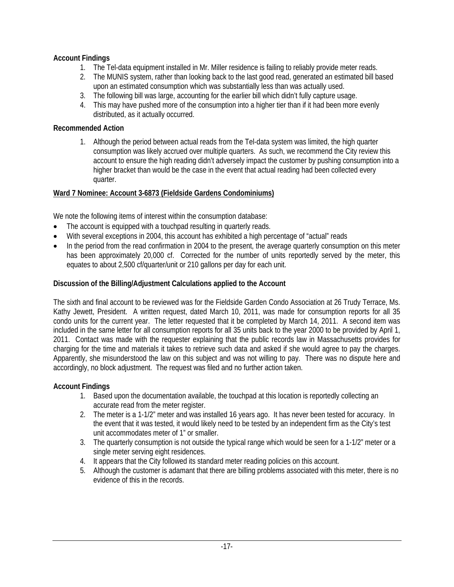# **Account Findings**

- 1. The Tel-data equipment installed in Mr. Miller residence is failing to reliably provide meter reads.
- 2. The MUNIS system, rather than looking back to the last good read, generated an estimated bill based upon an estimated consumption which was substantially less than was actually used.
- 3. The following bill was large, accounting for the earlier bill which didn't fully capture usage.
- 4. This may have pushed more of the consumption into a higher tier than if it had been more evenly distributed, as it actually occurred.

### **Recommended Action**

1. Although the period between actual reads from the Tel-data system was limited, the high quarter consumption was likely accrued over multiple quarters. As such, we recommend the City review this account to ensure the high reading didn't adversely impact the customer by pushing consumption into a higher bracket than would be the case in the event that actual reading had been collected every quarter.

### **Ward 7 Nominee: Account 3-6873 (Fieldside Gardens Condominiums)**

We note the following items of interest within the consumption database:

- The account is equipped with a touchpad resulting in quarterly reads.
- With several exceptions in 2004, this account has exhibited a high percentage of "actual" reads
- In the period from the read confirmation in 2004 to the present, the average quarterly consumption on this meter has been approximately 20,000 cf. Corrected for the number of units reportedly served by the meter, this equates to about 2,500 cf/quarter/unit or 210 gallons per day for each unit.

### **Discussion of the Billing/Adjustment Calculations applied to the Account**

The sixth and final account to be reviewed was for the Fieldside Garden Condo Association at 26 Trudy Terrace, Ms. Kathy Jewett, President. A written request, dated March 10, 2011, was made for consumption reports for all 35 condo units for the current year. The letter requested that it be completed by March 14, 2011. A second item was included in the same letter for all consumption reports for all 35 units back to the year 2000 to be provided by April 1, 2011. Contact was made with the requester explaining that the public records law in Massachusetts provides for charging for the time and materials it takes to retrieve such data and asked if she would agree to pay the charges. Apparently, she misunderstood the law on this subject and was not willing to pay. There was no dispute here and accordingly, no block adjustment. The request was filed and no further action taken.

### **Account Findings**

- 1. Based upon the documentation available, the touchpad at this location is reportedly collecting an accurate read from the meter register.
- 2. The meter is a 1-1/2" meter and was installed 16 years ago. It has never been tested for accuracy. In the event that it was tested, it would likely need to be tested by an independent firm as the City's test unit accommodates meter of 1" or smaller.
- 3. The quarterly consumption is not outside the typical range which would be seen for a 1-1/2" meter or a single meter serving eight residences.
- 4. It appears that the City followed its standard meter reading policies on this account.
- 5. Although the customer is adamant that there are billing problems associated with this meter, there is no evidence of this in the records.